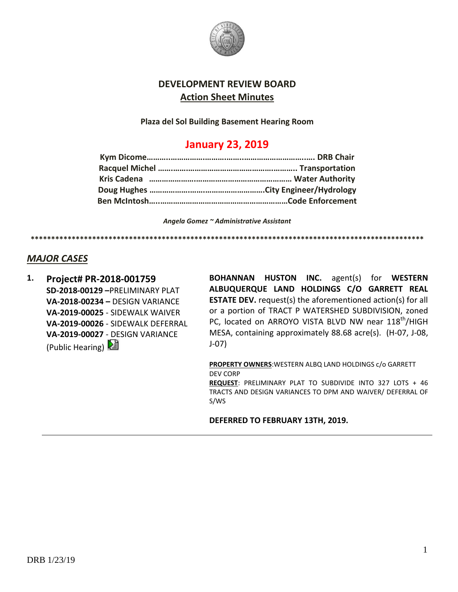

## **DEVELOPMENT REVIEW BOARD Action Sheet Minutes**

**Plaza del Sol Building Basement Hearing Room**

# **January 23, 2019**

*Angela Gomez ~ Administrative Assistant*

**\*\*\*\*\*\*\*\*\*\*\*\*\*\*\*\*\*\*\*\*\*\*\*\*\*\*\*\*\*\*\*\*\*\*\*\*\*\*\*\*\*\*\*\*\*\*\*\*\*\*\*\*\*\*\*\*\*\*\*\*\*\*\*\*\*\*\*\*\*\*\*\*\*\*\*\*\*\*\*\*\*\*\*\*\*\*\*\*\*\*\*\*\*\*\*\***

#### *MAJOR CASES*

**1. Project# PR-2018-001759 SD-2018-00129 –**PRELIMINARY PLAT **VA-2018-00234 –** DESIGN VARIANCE **VA-2019-00025** - SIDEWALK WAIVER **VA-2019-00026** - SIDEWALK DEFERRAL **VA-2019-00027** - DESIGN VARIANCE (Public Hearing)  $\mathbb{E}$ 

**BOHANNAN HUSTON INC.** agent(s) for **WESTERN ALBUQUERQUE LAND HOLDINGS C/O GARRETT REAL ESTATE DEV.** request(s) the aforementioned action(s) for all or a portion of TRACT P WATERSHED SUBDIVISION, zoned PC, located on ARROYO VISTA BLVD NW near 118<sup>th</sup>/HIGH MESA, containing approximately 88.68 acre(s). (H-07, J-08, J-07)

**PROPERTY OWNERS**:WESTERN ALBQ LAND HOLDINGS c/o GARRETT DEV CORP **REQUEST**: PRELIMINARY PLAT TO SUBDIVIDE INTO 327 LOTS + 46 TRACTS AND DESIGN VARIANCES TO DPM AND WAIVER/ DEFERRAL OF S/WS

#### **DEFERRED TO FEBRUARY 13TH, 2019.**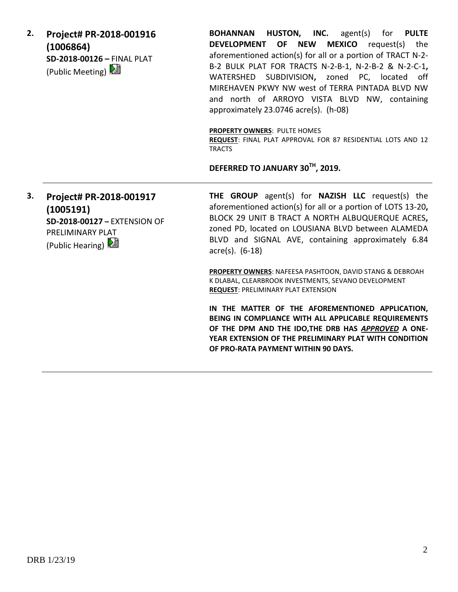**2. Project# PR-2018-001916 (1006864) SD-2018-00126 –** FINAL PLAT (Public Meeting)

**BOHANNAN HUSTON, INC.** agent(s) for **PULTE DEVELOPMENT OF NEW MEXICO** request(s) the aforementioned action(s) for all or a portion of TRACT N-2- B-2 BULK PLAT FOR TRACTS N-2-B-1, N-2-B-2 & N-2-C-1**,**  WATERSHED SUBDIVISION**,** zoned PC, located off MIREHAVEN PKWY NW west of TERRA PINTADA BLVD NW and north of ARROYO VISTA BLVD NW, containing approximately 23.0746 acre(s). (h-08)

**PROPERTY OWNERS**: PULTE HOMES

**REQUEST**: FINAL PLAT APPROVAL FOR 87 RESIDENTIAL LOTS AND 12 TRACTS

**DEFERRED TO JANUARY 30TH, 2019.**

**3. Project# PR-2018-001917 (1005191) SD-2018-00127 –** EXTENSION OF PRELIMINARY PLAT (Public Hearing)

**THE GROUP** agent(s) for **NAZISH LLC** request(s) the aforementioned action(s) for all or a portion of LOTS 13-20**,**  BLOCK 29 UNIT B TRACT A NORTH ALBUQUERQUE ACRES**,** zoned PD, located on LOUSIANA BLVD between ALAMEDA BLVD and SIGNAL AVE, containing approximately 6.84 acre(s). (6-18)

**PROPERTY OWNERS**: NAFEESA PASHTOON, DAVID STANG & DEBROAH K DLABAL, CLEARBROOK INVESTMENTS, SEVANO DEVELOPMENT **REQUEST**: PRELIMINARY PLAT EXTENSION

**IN THE MATTER OF THE AFOREMENTIONED APPLICATION, BEING IN COMPLIANCE WITH ALL APPLICABLE REQUIREMENTS OF THE DPM AND THE IDO,THE DRB HAS** *APPROVED* **A ONE-YEAR EXTENSION OF THE PRELIMINARY PLAT WITH CONDITION OF PRO-RATA PAYMENT WITHIN 90 DAYS.**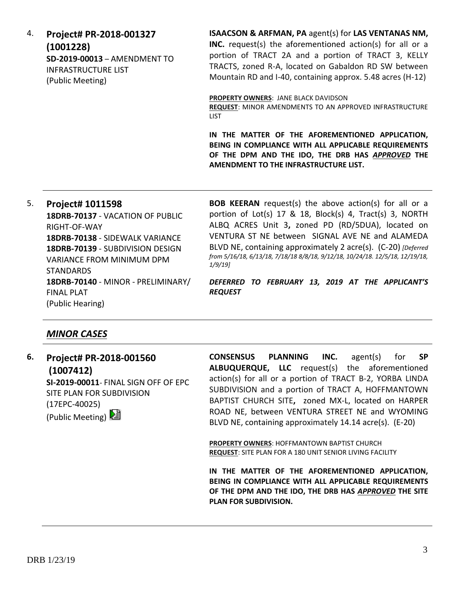4. **Project# PR-2018-001327 (1001228) SD-2019-00013** – AMENDMENT TO INFRASTRUCTURE LIST (Public Meeting)

**ISAACSON & ARFMAN, PA** agent(s) for **LAS VENTANAS NM,** 

**INC.** request(s) the aforementioned action(s) for all or a portion of TRACT 2A and a portion of TRACT 3, KELLY TRACTS, zoned R-A, located on Gabaldon RD SW between Mountain RD and I-40, containing approx. 5.48 acres (H-12)

**PROPERTY OWNERS**: JANE BLACK DAVIDSON

**REQUEST**: MINOR AMENDMENTS TO AN APPROVED INFRASTRUCTURE LIST

**IN THE MATTER OF THE AFOREMENTIONED APPLICATION, BEING IN COMPLIANCE WITH ALL APPLICABLE REQUIREMENTS OF THE DPM AND THE IDO, THE DRB HAS** *APPROVED* **THE AMENDMENT TO THE INFRASTRUCTURE LIST.**

5. **Project# 1011598 18DRB-70137** - VACATION OF PUBLIC RIGHT-OF-WAY **18DRB-70138** - SIDEWALK VARIANCE **18DRB-70139** - SUBDIVISION DESIGN VARIANCE FROM MINIMUM DPM STANDARDS **18DRB-70140** - MINOR - PRELIMINARY/ FINAL PLAT (Public Hearing)

**BOB KEERAN** request(s) the above action(s) for all or a portion of Lot(s) 17 & 18, Block(s) 4, Tract(s) 3, NORTH ALBQ ACRES Unit 3**,** zoned PD (RD/5DUA), located on VENTURA ST NE between SIGNAL AVE NE and ALAMEDA BLVD NE, containing approximately 2 acre(s). (C-20) *[Deferred from 5/16/18, 6/13/18, 7/18/18 8/8/18, 9/12/18, 10/24/18. 12/5/18, 12/19/18, 1/9/19]*

*DEFERRED TO FEBRUARY 13, 2019 AT THE APPLICANT'S REQUEST* 

## *MINOR CASES*

**6. Project# PR-2018-001560 (1007412) SI-2019-00011**- FINAL SIGN OFF OF EPC SITE PLAN FOR SUBDIVISION (17EPC-40025) (Public Meeting)

**CONSENSUS PLANNING INC.** agent(s) for **SP ALBUQUERQUE, LLC** request(s) the aforementioned action(s) for all or a portion of TRACT B-2, YORBA LINDA SUBDIVISION and a portion of TRACT A, HOFFMANTOWN BAPTIST CHURCH SITE**,** zoned MX-L, located on HARPER ROAD NE, between VENTURA STREET NE and WYOMING BLVD NE, containing approximately 14.14 acre(s). (E-20)

**PROPERTY OWNERS**: HOFFMANTOWN BAPTIST CHURCH **REQUEST**: SITE PLAN FOR A 180 UNIT SENIOR LIVING FACILITY

**IN THE MATTER OF THE AFOREMENTIONED APPLICATION, BEING IN COMPLIANCE WITH ALL APPLICABLE REQUIREMENTS OF THE DPM AND THE IDO, THE DRB HAS** *APPROVED* **THE SITE PLAN FOR SUBDIVISION.**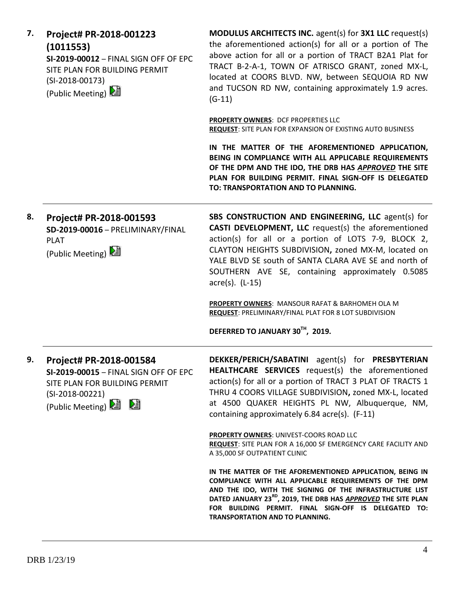| 7. | Project# PR-2018-001223<br>(1011553)<br>SI-2019-00012 - FINAL SIGN OFF OF EPC<br>SITE PLAN FOR BUILDING PERMIT<br>$(SI-2018-00173)$<br>(Public Meeting) 2 | <b>MODULUS ARCHITECTS INC.</b> agent(s) for <b>3X1 LLC</b> request(s)<br>the aforementioned action(s) for all or a portion of The<br>above action for all or a portion of TRACT B2A1 Plat for<br>TRACT B-2-A-1, TOWN OF ATRISCO GRANT, zoned MX-L,<br>located at COORS BLVD. NW, between SEQUOIA RD NW<br>and TUCSON RD NW, containing approximately 1.9 acres.<br>$(G-11)$ |
|----|-----------------------------------------------------------------------------------------------------------------------------------------------------------|-----------------------------------------------------------------------------------------------------------------------------------------------------------------------------------------------------------------------------------------------------------------------------------------------------------------------------------------------------------------------------|
|    |                                                                                                                                                           | <b>PROPERTY OWNERS: DCF PROPERTIES LLC</b><br>REQUEST: SITE PLAN FOR EXPANSION OF EXISTING AUTO BUSINESS                                                                                                                                                                                                                                                                    |
|    |                                                                                                                                                           | IN THE MATTER OF THE AFOREMENTIONED APPLICATION,<br>BEING IN COMPLIANCE WITH ALL APPLICABLE REQUIREMENTS<br>OF THE DPM AND THE IDO, THE DRB HAS APPROVED THE SITE<br>PLAN FOR BUILDING PERMIT. FINAL SIGN-OFF IS DELEGATED<br>TO: TRANSPORTATION AND TO PLANNING.                                                                                                           |
| 8. | Project# PR-2018-001593<br>SD-2019-00016 - PRELIMINARY/FINAL<br><b>PLAT</b><br>(Public Meeting)                                                           | SBS CONSTRUCTION AND ENGINEERING, LLC agent(s) for<br>CASTI DEVELOPMENT, LLC request(s) the aforementioned<br>action(s) for all or a portion of LOTS 7-9, BLOCK 2,<br>CLAYTON HEIGHTS SUBDIVISION, zoned MX-M, located on<br>YALE BLVD SE south of SANTA CLARA AVE SE and north of<br>SOUTHERN AVE SE, containing approximately 0.5085<br>acre(s). (L-15)                   |
|    |                                                                                                                                                           | PROPERTY OWNERS: MANSOUR RAFAT & BARHOMEH OLA M<br><b>REQUEST: PRELIMINARY/FINAL PLAT FOR 8 LOT SUBDIVISION</b>                                                                                                                                                                                                                                                             |
|    |                                                                                                                                                           | DEFERRED TO JANUARY 30TH, 2019.                                                                                                                                                                                                                                                                                                                                             |
| 9. | Project# PR-2018-001584<br>SI-2019-00015 - FINAL SIGN OFF OF EPC<br>SITE PLAN FOR BUILDING PERMIT<br>$(SI-2018-00221)$<br>(Public Meeting) <b>2</b> 2     | DEKKER/PERICH/SABATINI agent(s) for PRESBYTERIAN<br>HEALTHCARE SERVICES request(s) the aforementioned<br>action(s) for all or a portion of TRACT 3 PLAT OF TRACTS 1<br>THRU 4 COORS VILLAGE SUBDIVISION, zoned MX-L, located<br>at 4500 QUAKER HEIGHTS PL NW, Albuquerque, NM,<br>containing approximately 6.84 acre(s). (F-11)                                             |
|    |                                                                                                                                                           | PROPERTY OWNERS: UNIVEST-COORS ROAD LLC<br>REQUEST: SITE PLAN FOR A 16,000 SF EMERGENCY CARE FACILITY AND<br>A 35,000 SF OUTPATIENT CLINIC                                                                                                                                                                                                                                  |
|    |                                                                                                                                                           | IN THE MATTER OF THE AFOREMENTIONED APPLICATION, BEING IN<br>COMPLIANCE WITH ALL APPLICABLE REQUIREMENTS OF THE DPM<br>AND THE IDO, WITH THE SIGNING OF THE INFRASTRUCTURE LIST<br>DATED JANUARY 23 <sup>RD</sup> , 2019, THE DRB HAS APPROVED THE SITE PLAN<br>FOR BUILDING PERMIT. FINAL SIGN-OFF IS DELEGATED TO:<br>TRANSPORTATION AND TO PLANNING.                     |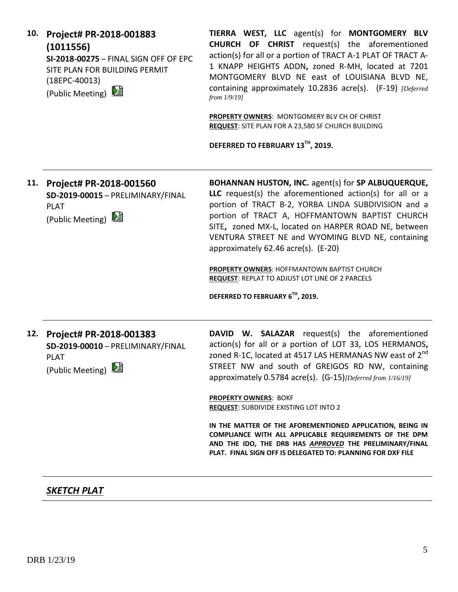| (1011556)<br>SI-2018-00275 - FINAL SIGN OFF OF EPC<br>SITE PLAN FOR BUILDING PERMIT<br>$(18EPC-40013)$<br>(Public Meeting) 2 | <b>CHURCH OF CHRIST</b> request(s) the aforementioned<br>action(s) for all or a portion of TRACT A-1 PLAT OF TRACT A-<br>1 KNAPP HEIGHTS ADDN, zoned R-MH, located at 7201<br>MONTGOMERY BLVD NE east of LOUISIANA BLVD NE,<br>containing approximately 10.2836 acre(s). (F-19) [Deferred]<br>from $1/9/19$ ]                                                               |
|------------------------------------------------------------------------------------------------------------------------------|-----------------------------------------------------------------------------------------------------------------------------------------------------------------------------------------------------------------------------------------------------------------------------------------------------------------------------------------------------------------------------|
|                                                                                                                              | PROPERTY OWNERS: MONTGOMERY BLV CH OF CHRIST<br>REQUEST: SITE PLAN FOR A 23,580 SF CHURCH BUILDING<br>DEFERRED TO FEBRUARY 13TH, 2019.                                                                                                                                                                                                                                      |
| Project# PR-2018-001560<br>SD-2019-00015 - PRELIMINARY/FINAL<br><b>PLAT</b><br>(Public Meeting)                              | BOHANNAN HUSTON, INC. agent(s) for SP ALBUQUERQUE,<br>LLC request(s) the aforementioned action(s) for all or a<br>portion of TRACT B-2, YORBA LINDA SUBDIVISION and a<br>portion of TRACT A, HOFFMANTOWN BAPTIST CHURCH<br>SITE, zoned MX-L, located on HARPER ROAD NE, between<br>VENTURA STREET NE and WYOMING BLVD NE, containing<br>approximately 62.46 acre(s). (E-20) |
|                                                                                                                              | PROPERTY OWNERS: HOFFMANTOWN BAPTIST CHURCH<br><b>REQUEST: REPLAT TO ADJUST LOT LINE OF 2 PARCELS</b><br>DEFERRED TO FEBRUARY 6TH, 2019.                                                                                                                                                                                                                                    |
| Project# PR-2018-001383<br>SD-2019-00010 - PRELIMINARY/FINAL<br><b>PLAT</b><br><b>SERVICE</b><br>(Public Meeting) 2          | DAVID W. SALAZAR request(s) the aforementioned<br>action(s) for all or a portion of LOT 33, LOS HERMANOS,<br>zoned R-1C, located at 4517 LAS HERMANAS NW east of 2 <sup>nd</sup><br>STREET NW and south of GREIGOS RD NW, containing<br>approximately 0.5784 acre(s). (G-15) [Deferred from 1/16/19]                                                                        |
|                                                                                                                              | <b>PROPERTY OWNERS: BOKF</b><br><b>REQUEST: SUBDIVIDE EXISTING LOT INTO 2</b><br>IN THE MATTER OF THE AFOREMENTIONED APPLICATION, BEING IN<br>COMPLIANCE WITH ALL APPLICABLE REQUIREMENTS OF THE DPM<br>AND THE IDO, THE DRB HAS APPROVED THE PRELIMINARY/FINAL<br><b>PLAT. FINAL SIGN OFF IS DELEGATED TO: PLANNING FOR DXF FILE</b>                                       |
|                                                                                                                              |                                                                                                                                                                                                                                                                                                                                                                             |

# *SKETCH PLAT*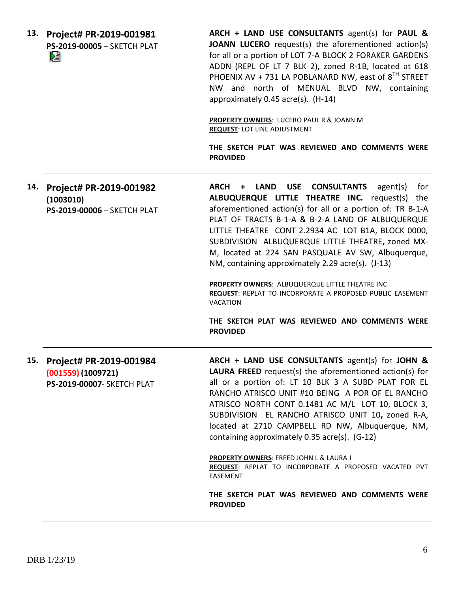|     | 13. Project# PR-2019-001981<br>PS-2019-00005 - SKETCH PLAT<br>N             | ARCH + LAND USE CONSULTANTS agent(s) for PAUL &<br>JOANN LUCERO request(s) the aforementioned action(s)<br>for all or a portion of LOT 7-A BLOCK 2 FORAKER GARDENS<br>ADDN (REPL OF LT 7 BLK 2), zoned R-1B, located at 618<br>PHOENIX AV + 731 LA POBLANARD NW, east of 8 <sup>TH</sup> STREET<br>NW and north of MENUAL BLVD NW, containing<br>approximately 0.45 acre(s). (H-14)<br>PROPERTY OWNERS: LUCERO PAUL R & JOANN M<br><b>REQUEST: LOT LINE ADJUSTMENT</b><br>THE SKETCH PLAT WAS REVIEWED AND COMMENTS WERE<br><b>PROVIDED</b>                                                                                                                                                      |
|-----|-----------------------------------------------------------------------------|--------------------------------------------------------------------------------------------------------------------------------------------------------------------------------------------------------------------------------------------------------------------------------------------------------------------------------------------------------------------------------------------------------------------------------------------------------------------------------------------------------------------------------------------------------------------------------------------------------------------------------------------------------------------------------------------------|
| 14. | Project# PR-2019-001982<br>(1003010)<br>PS-2019-00006 - SKETCH PLAT         | <b>ARCH</b><br><b>LAND</b><br><b>USE</b><br><b>CONSULTANTS</b><br>agent(s)<br>for<br>$\ddot{}$<br>ALBUQUERQUE LITTLE THEATRE INC. request(s) the<br>aforementioned action(s) for all or a portion of: TR B-1-A<br>PLAT OF TRACTS B-1-A & B-2-A LAND OF ALBUQUERQUE<br>LITTLE THEATRE CONT 2.2934 AC LOT B1A, BLOCK 0000,<br>SUBDIVISION ALBUQUERQUE LITTLE THEATRE, zoned MX-<br>M, located at 224 SAN PASQUALE AV SW, Albuquerque,<br>NM, containing approximately 2.29 acre(s). (J-13)<br>PROPERTY OWNERS: ALBUQUERQUE LITTLE THEATRE INC<br>REQUEST: REPLAT TO INCORPORATE A PROPOSED PUBLIC EASEMENT<br><b>VACATION</b><br>THE SKETCH PLAT WAS REVIEWED AND COMMENTS WERE<br><b>PROVIDED</b> |
| 15. | Project# PR-2019-001984<br>(001559) (1009721)<br>PS-2019-00007- SKETCH PLAT | ARCH + LAND USE CONSULTANTS agent(s) for JOHN &<br><b>LAURA FREED</b> request(s) the aforementioned action(s) for<br>all or a portion of: LT 10 BLK 3 A SUBD PLAT FOR EL<br>RANCHO ATRISCO UNIT #10 BEING A POR OF EL RANCHO<br>ATRISCO NORTH CONT 0.1481 AC M/L LOT 10, BLOCK 3,<br>SUBDIVISION EL RANCHO ATRISCO UNIT 10, zoned R-A,<br>located at 2710 CAMPBELL RD NW, Albuquerque, NM,<br>containing approximately 0.35 acre(s). (G-12)<br><b>PROPERTY OWNERS: FREED JOHN L &amp; LAURA J</b><br>REQUEST: REPLAT TO INCORPORATE A PROPOSED VACATED PVT<br>EASEMENT<br>THE SKETCH PLAT WAS REVIEWED AND COMMENTS WERE<br><b>PROVIDED</b>                                                      |